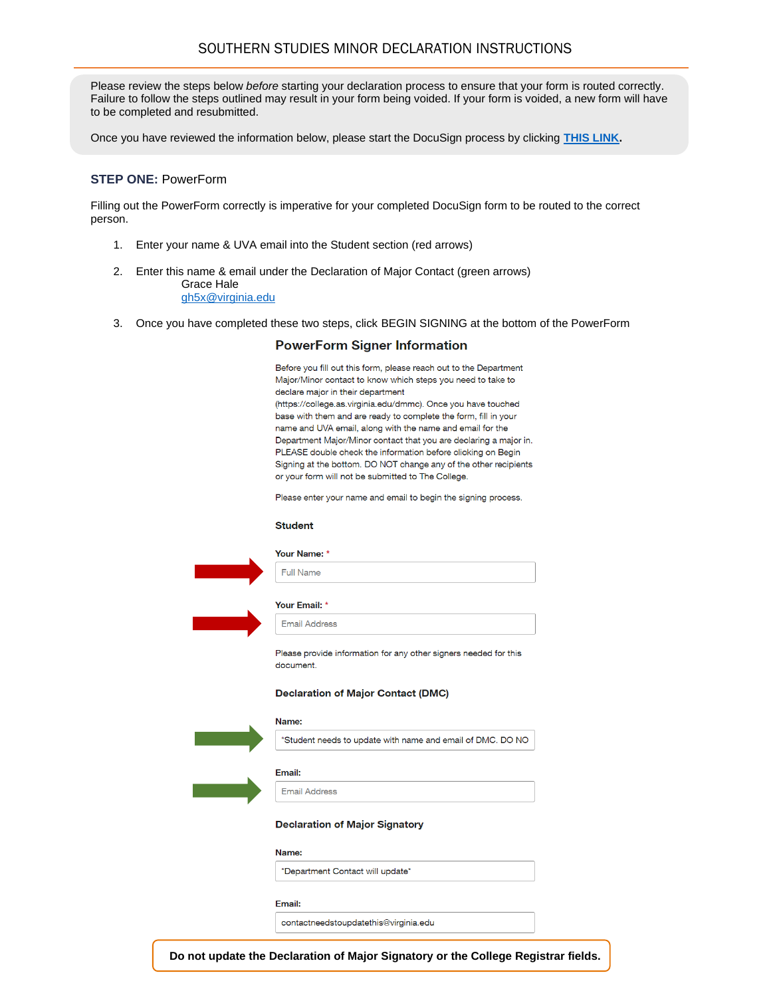# SOUTHERN STUDIES MINOR DECLARATION INSTRUCTIONS

Please review the steps below *before* starting your declaration process to ensure that your form is routed correctly. Failure to follow the steps outlined may result in your form being voided. If your form is voided, a new form will have to be completed and resubmitted.

Once you have reviewed the information below, please start the DocuSign process by clicking **[THIS LINK.](https://na2.docusign.net/Member/PowerFormSigning.aspx?PowerFormId=8ac06762-93a5-4b69-a317-096a66807599&env=na2&acct=cb8f3d97-c474-4da1-9ceb-17a5b1681cc6&v=2)**

## **STEP ONE:** PowerForm

Filling out the PowerForm correctly is imperative for your completed DocuSign form to be routed to the correct person.

- 1. Enter your name & UVA email into the Student section (red arrows)
- 2. Enter this name & email under the Declaration of Major Contact (green arrows) Grace Hale [gh5x@virginia.edu](mailto:gh5x@virginia.edu)
- 3. Once you have completed these two steps, click BEGIN SIGNING at the bottom of the PowerForm

## **PowerForm Signer Information**

Before you fill out this form, please reach out to the Department Major/Minor contact to know which steps you need to take to declare major in their department (https://college.as.virginia.edu/dmmc). Once you have touched base with them and are ready to complete the form, fill in your name and UVA email, along with the name and email for the Department Major/Minor contact that you are declaring a major in. PLEASE double check the information before clicking on Begin Signing at the bottom. DO NOT change any of the other recipients or your form will not be submitted to The College.

Please enter your name and email to begin the signing process.

#### **Student**

| Your Name: * |
|--------------|
|              |

Your Email: \* **Email Address** 



Please provide information for any other signers needed for this document.

**NO** 

#### **Declaration of Major Contact (DMC)**

| Name:                                                   |
|---------------------------------------------------------|
| *Student needs to update with name and email of DMC. DO |
| Email:                                                  |
| <b>Email Address</b>                                    |
| <b>Declaration of Major Signatory</b>                   |
| Name:                                                   |
| *Department Contact will update*                        |
| Emerik                                                  |

contactneedstoupdatethis@virginia.edu

**Do not update the Declaration of Major Signatory or the College Registrar fields.**